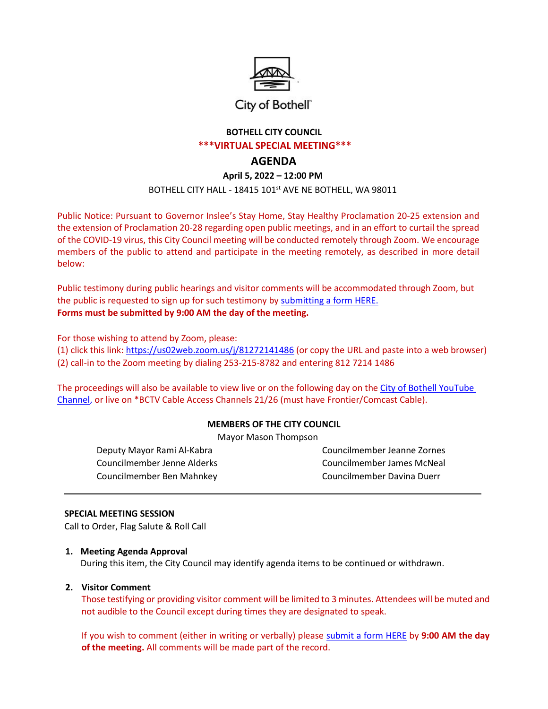

# City of Bothell"

# **BOTHELL CITY COUNCIL \*\*\*VIRTUAL SPECIAL MEETING\*\*\***

# **AGENDA**

**April 5, 2022 – 12:00 PM**

BOTHELL CITY HALL - 18415 101st AVE NE BOTHELL, WA 98011

Public Notice: Pursuant to Governor Inslee's Stay Home, Stay Healthy Proclamation 20-25 extension and the extension of Proclamation 20-28 regarding open public meetings, and in an effort to curtail the spread of the COVID-19 virus, this City Council meeting will be conducted remotely through Zoom. We encourage members of the public to attend and participate in the meeting remotely, as described in more detail below:

Public testimony during public hearings and visitor comments will be accommodated through Zoom, but the public is requested to sign up for such testimony by [submitting a form HERE.](http://www.ci.bothell.wa.us/FormCenter/City-Clerk-15/Public-Comment-SignUp-Verbal-or-Written-209) **Forms must be submitted by 9:00 AM the day of the meeting.**

For those wishing to attend by Zoom, please:

(1) click this link: <https://us02web.zoom.us/j/81272141486> (or copy the URL and paste into a web browser) (2) call-in to the Zoom meeting by dialing 253-215-8782 and entering 812 7214 1486

The proceedings will also be available to view live or on the following day on the City of Bothell [YouTube](https://www.youtube.com/user/CityofBothell/featured) [Channel,](https://www.youtube.com/user/CityofBothell/featured) or live on \*BCTV Cable Access Channels 21/26 (must have Frontier/Comcast Cable).

# **MEMBERS OF THE CITY COUNCIL**

Mayor Mason Thompson

Deputy Mayor Rami Al-Kabra Councilmember Jeanne Zornes Councilmember Jenne Alderks Councilmember James McNeal Councilmember Ben Mahnkey Councilmember Davina Duerr

#### **SPECIAL MEETING SESSION**

Call to Order, Flag Salute & Roll Call

#### **1. Meeting Agenda Approval**

During this item, the City Council may identify agenda items to be continued or withdrawn.

#### **2. Visitor Comment**

Those testifying or providing visitor comment will be limited to 3 minutes. Attendees will be muted and not audible to the Council except during times they are designated to speak.

If you wish to comment (either in writing or verbally) please [submit a form HERE](http://www.ci.bothell.wa.us/FormCenter/City-Clerk-15/Remote-Public-Comment-SignUp-209) by **9:00 AM the day of the meeting.** All comments will be made part of the record.